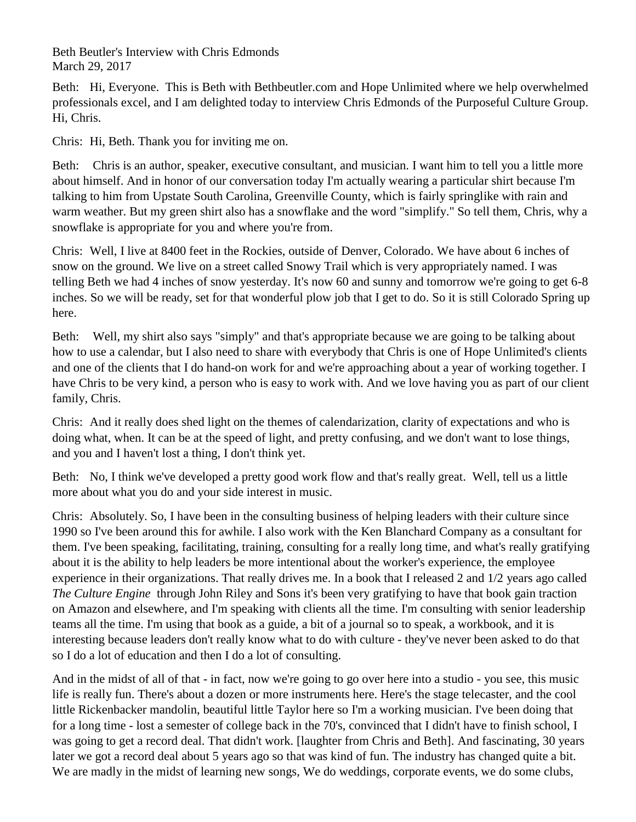Beth Beutler's Interview with Chris Edmonds March 29, 2017

Beth: Hi, Everyone. This is Beth with Bethbeutler.com and Hope Unlimited where we help overwhelmed professionals excel, and I am delighted today to interview Chris Edmonds of the Purposeful Culture Group. Hi, Chris.

Chris: Hi, Beth. Thank you for inviting me on.

Beth: Chris is an author, speaker, executive consultant, and musician. I want him to tell you a little more about himself. And in honor of our conversation today I'm actually wearing a particular shirt because I'm talking to him from Upstate South Carolina, Greenville County, which is fairly springlike with rain and warm weather. But my green shirt also has a snowflake and the word "simplify." So tell them, Chris, why a snowflake is appropriate for you and where you're from.

Chris: Well, I live at 8400 feet in the Rockies, outside of Denver, Colorado. We have about 6 inches of snow on the ground. We live on a street called Snowy Trail which is very appropriately named. I was telling Beth we had 4 inches of snow yesterday. It's now 60 and sunny and tomorrow we're going to get 6-8 inches. So we will be ready, set for that wonderful plow job that I get to do. So it is still Colorado Spring up here.

Beth: Well, my shirt also says "simply" and that's appropriate because we are going to be talking about how to use a calendar, but I also need to share with everybody that Chris is one of Hope Unlimited's clients and one of the clients that I do hand-on work for and we're approaching about a year of working together. I have Chris to be very kind, a person who is easy to work with. And we love having you as part of our client family, Chris.

Chris: And it really does shed light on the themes of calendarization, clarity of expectations and who is doing what, when. It can be at the speed of light, and pretty confusing, and we don't want to lose things, and you and I haven't lost a thing, I don't think yet.

Beth: No, I think we've developed a pretty good work flow and that's really great. Well, tell us a little more about what you do and your side interest in music.

Chris: Absolutely. So, I have been in the consulting business of helping leaders with their culture since 1990 so I've been around this for awhile. I also work with the Ken Blanchard Company as a consultant for them. I've been speaking, facilitating, training, consulting for a really long time, and what's really gratifying about it is the ability to help leaders be more intentional about the worker's experience, the employee experience in their organizations. That really drives me. In a book that I released 2 and 1/2 years ago called *The Culture Engine* through John Riley and Sons it's been very gratifying to have that book gain traction on Amazon and elsewhere, and I'm speaking with clients all the time. I'm consulting with senior leadership teams all the time. I'm using that book as a guide, a bit of a journal so to speak, a workbook, and it is interesting because leaders don't really know what to do with culture - they've never been asked to do that so I do a lot of education and then I do a lot of consulting.

And in the midst of all of that - in fact, now we're going to go over here into a studio - you see, this music life is really fun. There's about a dozen or more instruments here. Here's the stage telecaster, and the cool little Rickenbacker mandolin, beautiful little Taylor here so I'm a working musician. I've been doing that for a long time - lost a semester of college back in the 70's, convinced that I didn't have to finish school, I was going to get a record deal. That didn't work. [laughter from Chris and Beth]. And fascinating, 30 years later we got a record deal about 5 years ago so that was kind of fun. The industry has changed quite a bit. We are madly in the midst of learning new songs, We do weddings, corporate events, we do some clubs,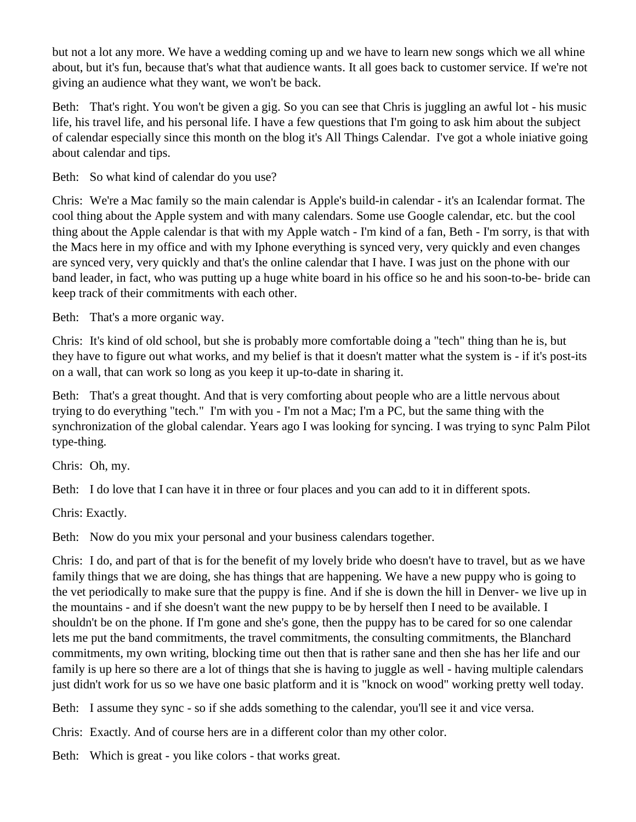but not a lot any more. We have a wedding coming up and we have to learn new songs which we all whine about, but it's fun, because that's what that audience wants. It all goes back to customer service. If we're not giving an audience what they want, we won't be back.

Beth: That's right. You won't be given a gig. So you can see that Chris is juggling an awful lot - his music life, his travel life, and his personal life. I have a few questions that I'm going to ask him about the subject of calendar especially since this month on the blog it's All Things Calendar. I've got a whole iniative going about calendar and tips.

Beth: So what kind of calendar do you use?

Chris: We're a Mac family so the main calendar is Apple's build-in calendar - it's an Icalendar format. The cool thing about the Apple system and with many calendars. Some use Google calendar, etc. but the cool thing about the Apple calendar is that with my Apple watch - I'm kind of a fan, Beth - I'm sorry, is that with the Macs here in my office and with my Iphone everything is synced very, very quickly and even changes are synced very, very quickly and that's the online calendar that I have. I was just on the phone with our band leader, in fact, who was putting up a huge white board in his office so he and his soon-to-be- bride can keep track of their commitments with each other.

Beth: That's a more organic way.

Chris: It's kind of old school, but she is probably more comfortable doing a "tech" thing than he is, but they have to figure out what works, and my belief is that it doesn't matter what the system is - if it's post-its on a wall, that can work so long as you keep it up-to-date in sharing it.

Beth: That's a great thought. And that is very comforting about people who are a little nervous about trying to do everything "tech." I'm with you - I'm not a Mac; I'm a PC, but the same thing with the synchronization of the global calendar. Years ago I was looking for syncing. I was trying to sync Palm Pilot type-thing.

Chris: Oh, my.

Beth: I do love that I can have it in three or four places and you can add to it in different spots.

Chris: Exactly.

Beth: Now do you mix your personal and your business calendars together.

Chris: I do, and part of that is for the benefit of my lovely bride who doesn't have to travel, but as we have family things that we are doing, she has things that are happening. We have a new puppy who is going to the vet periodically to make sure that the puppy is fine. And if she is down the hill in Denver- we live up in the mountains - and if she doesn't want the new puppy to be by herself then I need to be available. I shouldn't be on the phone. If I'm gone and she's gone, then the puppy has to be cared for so one calendar lets me put the band commitments, the travel commitments, the consulting commitments, the Blanchard commitments, my own writing, blocking time out then that is rather sane and then she has her life and our family is up here so there are a lot of things that she is having to juggle as well - having multiple calendars just didn't work for us so we have one basic platform and it is "knock on wood" working pretty well today.

Beth: I assume they sync - so if she adds something to the calendar, you'll see it and vice versa.

Chris: Exactly. And of course hers are in a different color than my other color.

Beth: Which is great - you like colors - that works great.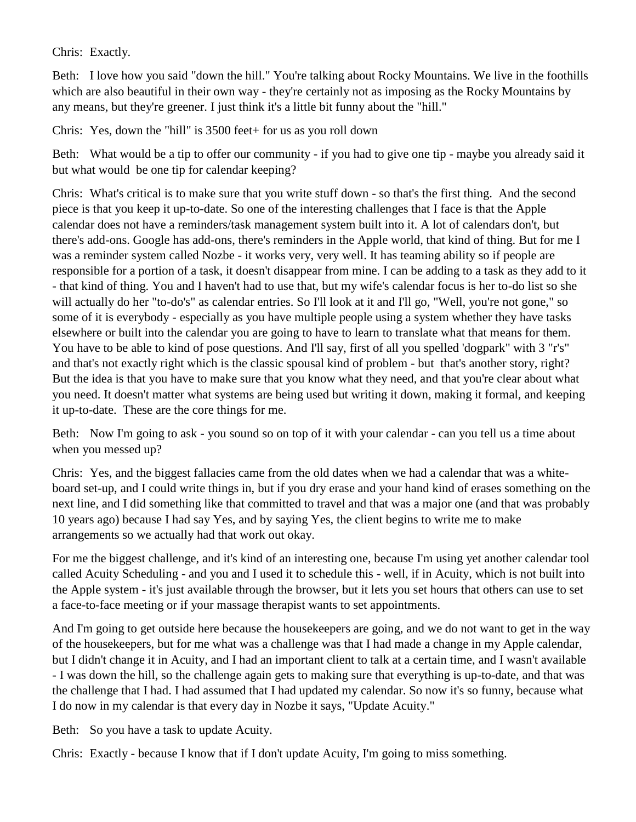Chris: Exactly.

Beth: I love how you said "down the hill." You're talking about Rocky Mountains. We live in the foothills which are also beautiful in their own way - they're certainly not as imposing as the Rocky Mountains by any means, but they're greener. I just think it's a little bit funny about the "hill."

Chris: Yes, down the "hill" is 3500 feet+ for us as you roll down

Beth: What would be a tip to offer our community - if you had to give one tip - maybe you already said it but what would be one tip for calendar keeping?

Chris: What's critical is to make sure that you write stuff down - so that's the first thing. And the second piece is that you keep it up-to-date. So one of the interesting challenges that I face is that the Apple calendar does not have a reminders/task management system built into it. A lot of calendars don't, but there's add-ons. Google has add-ons, there's reminders in the Apple world, that kind of thing. But for me I was a reminder system called Nozbe - it works very, very well. It has teaming ability so if people are responsible for a portion of a task, it doesn't disappear from mine. I can be adding to a task as they add to it - that kind of thing. You and I haven't had to use that, but my wife's calendar focus is her to-do list so she will actually do her "to-do's" as calendar entries. So I'll look at it and I'll go, "Well, you're not gone," so some of it is everybody - especially as you have multiple people using a system whether they have tasks elsewhere or built into the calendar you are going to have to learn to translate what that means for them. You have to be able to kind of pose questions. And I'll say, first of all you spelled 'dogpark" with 3 "r's" and that's not exactly right which is the classic spousal kind of problem - but that's another story, right? But the idea is that you have to make sure that you know what they need, and that you're clear about what you need. It doesn't matter what systems are being used but writing it down, making it formal, and keeping it up-to-date. These are the core things for me.

Beth: Now I'm going to ask - you sound so on top of it with your calendar - can you tell us a time about when you messed up?

Chris: Yes, and the biggest fallacies came from the old dates when we had a calendar that was a whiteboard set-up, and I could write things in, but if you dry erase and your hand kind of erases something on the next line, and I did something like that committed to travel and that was a major one (and that was probably 10 years ago) because I had say Yes, and by saying Yes, the client begins to write me to make arrangements so we actually had that work out okay.

For me the biggest challenge, and it's kind of an interesting one, because I'm using yet another calendar tool called Acuity Scheduling - and you and I used it to schedule this - well, if in Acuity, which is not built into the Apple system - it's just available through the browser, but it lets you set hours that others can use to set a face-to-face meeting or if your massage therapist wants to set appointments.

And I'm going to get outside here because the housekeepers are going, and we do not want to get in the way of the housekeepers, but for me what was a challenge was that I had made a change in my Apple calendar, but I didn't change it in Acuity, and I had an important client to talk at a certain time, and I wasn't available - I was down the hill, so the challenge again gets to making sure that everything is up-to-date, and that was the challenge that I had. I had assumed that I had updated my calendar. So now it's so funny, because what I do now in my calendar is that every day in Nozbe it says, "Update Acuity."

Beth: So you have a task to update Acuity.

Chris: Exactly - because I know that if I don't update Acuity, I'm going to miss something.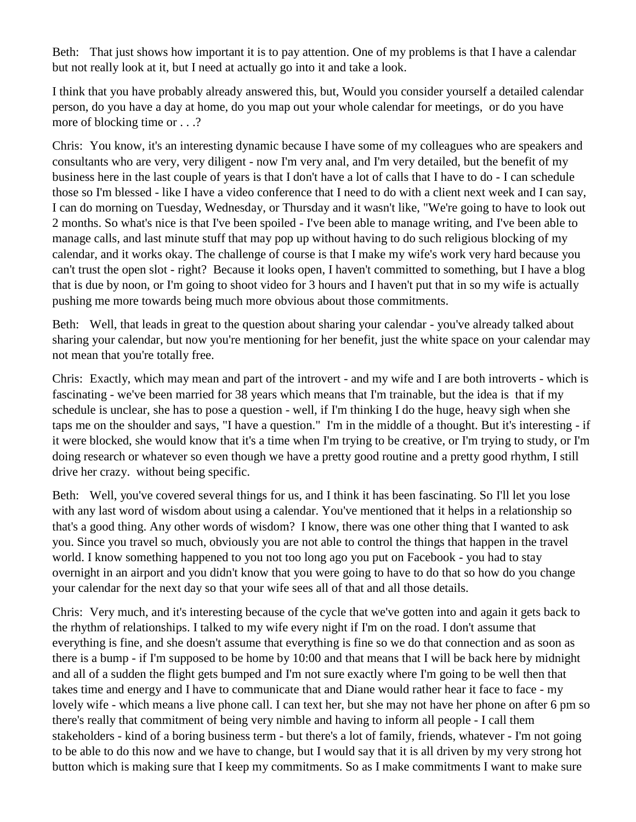Beth: That just shows how important it is to pay attention. One of my problems is that I have a calendar but not really look at it, but I need at actually go into it and take a look.

I think that you have probably already answered this, but, Would you consider yourself a detailed calendar person, do you have a day at home, do you map out your whole calendar for meetings, or do you have more of blocking time or . . .?

Chris: You know, it's an interesting dynamic because I have some of my colleagues who are speakers and consultants who are very, very diligent - now I'm very anal, and I'm very detailed, but the benefit of my business here in the last couple of years is that I don't have a lot of calls that I have to do - I can schedule those so I'm blessed - like I have a video conference that I need to do with a client next week and I can say, I can do morning on Tuesday, Wednesday, or Thursday and it wasn't like, "We're going to have to look out 2 months. So what's nice is that I've been spoiled - I've been able to manage writing, and I've been able to manage calls, and last minute stuff that may pop up without having to do such religious blocking of my calendar, and it works okay. The challenge of course is that I make my wife's work very hard because you can't trust the open slot - right? Because it looks open, I haven't committed to something, but I have a blog that is due by noon, or I'm going to shoot video for 3 hours and I haven't put that in so my wife is actually pushing me more towards being much more obvious about those commitments.

Beth: Well, that leads in great to the question about sharing your calendar - you've already talked about sharing your calendar, but now you're mentioning for her benefit, just the white space on your calendar may not mean that you're totally free.

Chris: Exactly, which may mean and part of the introvert - and my wife and I are both introverts - which is fascinating - we've been married for 38 years which means that I'm trainable, but the idea is that if my schedule is unclear, she has to pose a question - well, if I'm thinking I do the huge, heavy sigh when she taps me on the shoulder and says, "I have a question." I'm in the middle of a thought. But it's interesting - if it were blocked, she would know that it's a time when I'm trying to be creative, or I'm trying to study, or I'm doing research or whatever so even though we have a pretty good routine and a pretty good rhythm, I still drive her crazy. without being specific.

Beth: Well, you've covered several things for us, and I think it has been fascinating. So I'll let you lose with any last word of wisdom about using a calendar. You've mentioned that it helps in a relationship so that's a good thing. Any other words of wisdom? I know, there was one other thing that I wanted to ask you. Since you travel so much, obviously you are not able to control the things that happen in the travel world. I know something happened to you not too long ago you put on Facebook - you had to stay overnight in an airport and you didn't know that you were going to have to do that so how do you change your calendar for the next day so that your wife sees all of that and all those details.

Chris: Very much, and it's interesting because of the cycle that we've gotten into and again it gets back to the rhythm of relationships. I talked to my wife every night if I'm on the road. I don't assume that everything is fine, and she doesn't assume that everything is fine so we do that connection and as soon as there is a bump - if I'm supposed to be home by 10:00 and that means that I will be back here by midnight and all of a sudden the flight gets bumped and I'm not sure exactly where I'm going to be well then that takes time and energy and I have to communicate that and Diane would rather hear it face to face - my lovely wife - which means a live phone call. I can text her, but she may not have her phone on after 6 pm so there's really that commitment of being very nimble and having to inform all people - I call them stakeholders - kind of a boring business term - but there's a lot of family, friends, whatever - I'm not going to be able to do this now and we have to change, but I would say that it is all driven by my very strong hot button which is making sure that I keep my commitments. So as I make commitments I want to make sure